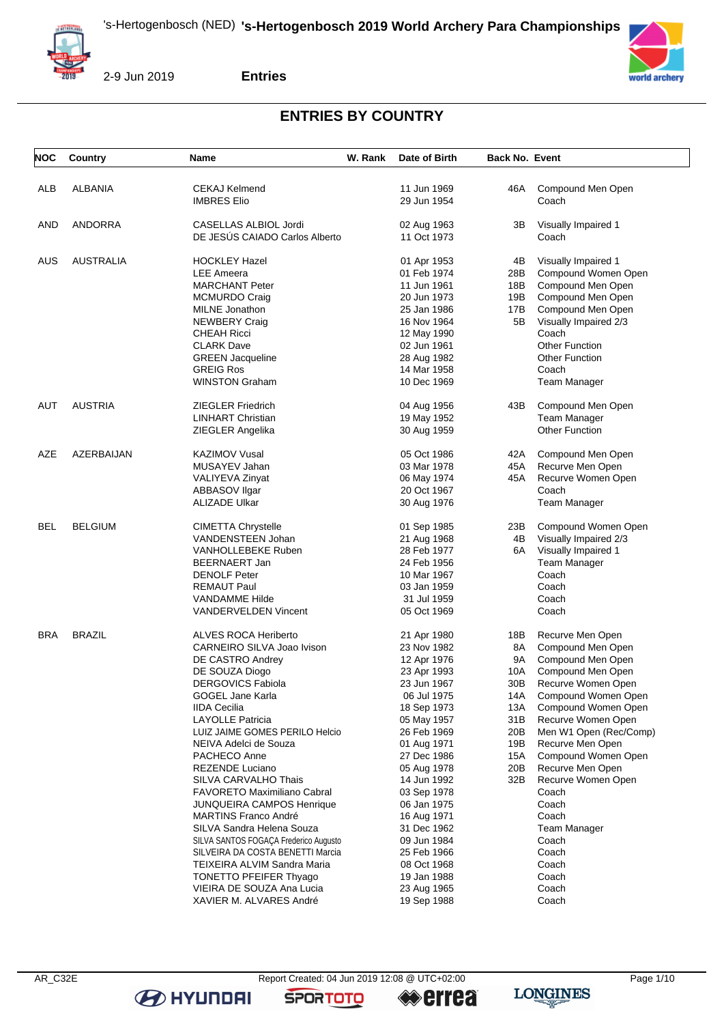



**Entries**

#### **ENTRIES BY COUNTRY**

| <b>NOC</b> | Country          | Name                                                 | W. Rank | Date of Birth              | <b>Back No. Event</b>  |                                           |
|------------|------------------|------------------------------------------------------|---------|----------------------------|------------------------|-------------------------------------------|
|            |                  | <b>CEKAJ Kelmend</b>                                 |         | 11 Jun 1969                |                        |                                           |
| ALB        | <b>ALBANIA</b>   | <b>IMBRES Elio</b>                                   |         | 29 Jun 1954                | 46A                    | Compound Men Open<br>Coach                |
| AND        | <b>ANDORRA</b>   | CASELLAS ALBIOL Jordi                                |         | 02 Aug 1963                | ЗВ                     | Visually Impaired 1                       |
|            |                  | DE JESÚS CAIADO Carlos Alberto                       |         | 11 Oct 1973                |                        | Coach                                     |
| <b>AUS</b> | <b>AUSTRALIA</b> | <b>HOCKLEY Hazel</b>                                 |         | 01 Apr 1953                | 4B                     | Visually Impaired 1                       |
|            |                  | <b>LEE Ameera</b>                                    |         | 01 Feb 1974                | 28B                    | Compound Women Open                       |
|            |                  | <b>MARCHANT Peter</b>                                |         | 11 Jun 1961                | 18B                    | Compound Men Open                         |
|            |                  | <b>MCMURDO Craig</b>                                 |         | 20 Jun 1973                | 19B                    | Compound Men Open                         |
|            |                  | MILNE Jonathon                                       |         | 25 Jan 1986                | 17B                    | Compound Men Open                         |
|            |                  | <b>NEWBERY Craig</b>                                 |         | 16 Nov 1964                | 5Β                     | Visually Impaired 2/3                     |
|            |                  | <b>CHEAH Ricci</b>                                   |         | 12 May 1990                |                        | Coach                                     |
|            |                  | <b>CLARK Dave</b>                                    |         | 02 Jun 1961                |                        | <b>Other Function</b>                     |
|            |                  | <b>GREEN Jacqueline</b>                              |         | 28 Aug 1982                |                        | Other Function                            |
|            |                  | <b>GREIG Ros</b>                                     |         | 14 Mar 1958                |                        | Coach                                     |
|            |                  | WINSTON Graham                                       |         | 10 Dec 1969                |                        | Team Manager                              |
| AUT        | <b>AUSTRIA</b>   | <b>ZIEGLER Friedrich</b>                             |         | 04 Aug 1956                | 43B                    | Compound Men Open                         |
|            |                  | <b>LINHART Christian</b>                             |         | 19 May 1952                |                        | <b>Team Manager</b>                       |
|            |                  | ZIEGLER Angelika                                     |         | 30 Aug 1959                |                        | <b>Other Function</b>                     |
| AZE        | AZERBAIJAN       | <b>KAZIMOV Vusal</b>                                 |         | 05 Oct 1986                | 42A                    | Compound Men Open                         |
|            |                  | MUSAYEV Jahan                                        |         | 03 Mar 1978                | 45A                    | Recurve Men Open                          |
|            |                  | VALIYEVA Zinyat                                      |         | 06 May 1974                | 45A                    | Recurve Women Open                        |
|            |                  | <b>ABBASOV Ilgar</b>                                 |         | 20 Oct 1967                |                        | Coach                                     |
|            |                  | ALIZADE Ulkar                                        |         | 30 Aug 1976                |                        | <b>Team Manager</b>                       |
| BEL        | <b>BELGIUM</b>   | <b>CIMETTA Chrystelle</b>                            |         | 01 Sep 1985                | 23B                    | Compound Women Open                       |
|            |                  | VANDENSTEEN Johan                                    |         | 21 Aug 1968                | 4B                     | Visually Impaired 2/3                     |
|            |                  | VANHOLLEBEKE Ruben                                   |         | 28 Feb 1977                | 6A                     | Visually Impaired 1                       |
|            |                  | BEERNAERT Jan                                        |         | 24 Feb 1956                |                        | <b>Team Manager</b>                       |
|            |                  | <b>DENOLF Peter</b>                                  |         | 10 Mar 1967                |                        | Coach                                     |
|            |                  | <b>REMAUT Paul</b>                                   |         | 03 Jan 1959                |                        | Coach                                     |
|            |                  | <b>VANDAMME Hilde</b>                                |         | 31 Jul 1959                |                        | Coach                                     |
|            |                  | VANDERVELDEN Vincent                                 |         | 05 Oct 1969                |                        | Coach                                     |
| <b>BRA</b> | <b>BRAZIL</b>    | ALVES ROCA Heriberto                                 |         | 21 Apr 1980                | 18B                    | Recurve Men Open                          |
|            |                  | CARNEIRO SILVA Joao Ivison                           |         | 23 Nov 1982                | 8A                     | Compound Men Open                         |
|            |                  | DE CASTRO Andrey                                     |         | 12 Apr 1976                | 9A                     | Compound Men Open                         |
|            |                  | DE SOUZA Diogo                                       |         | 23 Apr 1993                | 10A                    | Compound Men Open                         |
|            |                  | <b>DERGOVICS Fabiola</b><br>GOGEL Jane Karla         |         | 23 Jun 1967<br>06 Jul 1975 | 30 <sub>B</sub><br>14A | Recurve Women Open<br>Compound Women Open |
|            |                  | <b>IIDA Cecilia</b>                                  |         | 18 Sep 1973                | 13A                    | Compound Women Open                       |
|            |                  | LAYOLLE Patricia                                     |         | 05 May 1957                | 31 B                   | Recurve Women Open                        |
|            |                  | LUIZ JAIME GOMES PERILO Helcio                       |         | 26 Feb 1969                | 20 <sub>B</sub>        | Men W1 Open (Rec/Comp)                    |
|            |                  | NEIVA Adelci de Souza                                |         | 01 Aug 1971                | 19B                    | Recurve Men Open                          |
|            |                  | PACHECO Anne                                         |         | 27 Dec 1986                | 15A                    | Compound Women Open                       |
|            |                  | REZENDE Luciano                                      |         | 05 Aug 1978                | 20B                    | Recurve Men Open                          |
|            |                  | SILVA CARVALHO Thais                                 |         | 14 Jun 1992                | 32B                    | Recurve Women Open                        |
|            |                  | <b>FAVORETO Maximiliano Cabral</b>                   |         | 03 Sep 1978                |                        | Coach                                     |
|            |                  | JUNQUEIRA CAMPOS Henrique                            |         | 06 Jan 1975                |                        | Coach                                     |
|            |                  | <b>MARTINS Franco André</b>                          |         | 16 Aug 1971                |                        | Coach                                     |
|            |                  | SILVA Sandra Helena Souza                            |         | 31 Dec 1962                |                        | Team Manager                              |
|            |                  | SILVA SANTOS FOGAÇA Frederico Augusto                |         | 09 Jun 1984                |                        | Coach                                     |
|            |                  | SILVEIRA DA COSTA BENETTI Marcia                     |         | 25 Feb 1966                |                        | Coach                                     |
|            |                  | TEIXEIRA ALVIM Sandra Maria                          |         | 08 Oct 1968                |                        | Coach                                     |
|            |                  | TONETTO PFEIFER Thyago                               |         | 19 Jan 1988                |                        | Coach                                     |
|            |                  | VIEIRA DE SOUZA Ana Lucia<br>XAVIER M. ALVARES André |         | 23 Aug 1965<br>19 Sep 1988 |                        | Coach<br>Coach                            |
|            |                  |                                                      |         |                            |                        |                                           |

**B** HYUNDAI

**SPORTOTO** 

**errea** 

**LONGINES**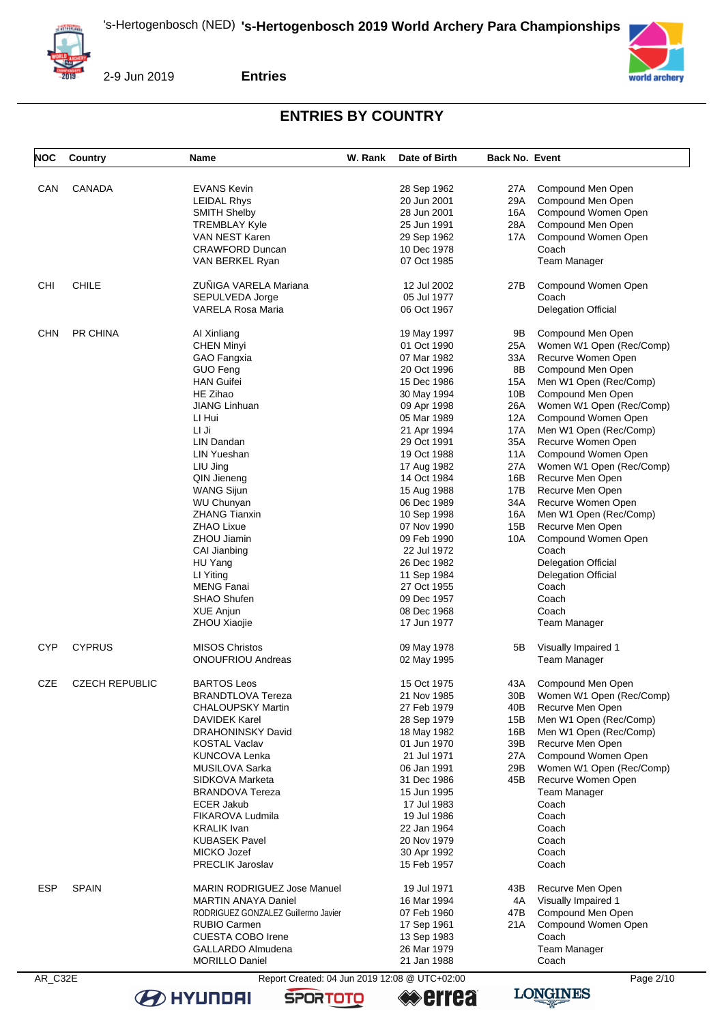



**Entries**

#### **ENTRIES BY COUNTRY**

| NOC        | Country               | Name                                | W. Rank | Date of Birth | <b>Back No. Event</b> |                            |
|------------|-----------------------|-------------------------------------|---------|---------------|-----------------------|----------------------------|
|            |                       |                                     |         |               |                       |                            |
| CAN        | <b>CANADA</b>         | <b>EVANS Kevin</b>                  |         | 28 Sep 1962   | 27A                   | Compound Men Open          |
|            |                       |                                     |         |               |                       |                            |
|            |                       | LEIDAL Rhys                         |         | 20 Jun 2001   | 29A                   | Compound Men Open          |
|            |                       | <b>SMITH Shelby</b>                 |         | 28 Jun 2001   | 16A                   | Compound Women Open        |
|            |                       | <b>TREMBLAY Kyle</b>                |         | 25 Jun 1991   | 28A                   | Compound Men Open          |
|            |                       | VAN NEST Karen                      |         | 29 Sep 1962   | 17A                   | Compound Women Open        |
|            |                       | <b>CRAWFORD Duncan</b>              |         | 10 Dec 1978   |                       | Coach                      |
|            |                       | VAN BERKEL Ryan                     |         | 07 Oct 1985   |                       | Team Manager               |
| CHI        | <b>CHILE</b>          | ZUÑIGA VARELA Mariana               |         | 12 Jul 2002   | 27B                   | Compound Women Open        |
|            |                       | SEPULVEDA Jorge                     |         | 05 Jul 1977   |                       | Coach                      |
|            |                       | VARELA Rosa Maria                   |         | 06 Oct 1967   |                       | Delegation Official        |
|            |                       |                                     |         |               |                       |                            |
| CHN        | PR CHINA              | Al Xinliang                         |         | 19 May 1997   | 9B                    | Compound Men Open          |
|            |                       | <b>CHEN Minyi</b>                   |         | 01 Oct 1990   | 25A                   | Women W1 Open (Rec/Comp)   |
|            |                       | GAO Fangxia                         |         | 07 Mar 1982   | 33A                   | Recurve Women Open         |
|            |                       | GUO Feng                            |         | 20 Oct 1996   | 8B                    | Compound Men Open          |
|            |                       | <b>HAN Guifei</b>                   |         | 15 Dec 1986   | 15A                   | Men W1 Open (Rec/Comp)     |
|            |                       | HE Zihao                            |         | 30 May 1994   | 10B                   | Compound Men Open          |
|            |                       | <b>JIANG Linhuan</b>                |         |               | 26A                   | Women W1 Open (Rec/Comp)   |
|            |                       |                                     |         | 09 Apr 1998   |                       |                            |
|            |                       | LI Hui                              |         | 05 Mar 1989   | 12A                   | Compound Women Open        |
|            |                       | LI Ji                               |         | 21 Apr 1994   | 17A                   | Men W1 Open (Rec/Comp)     |
|            |                       | LIN Dandan                          |         | 29 Oct 1991   | 35A                   | Recurve Women Open         |
|            |                       | <b>LIN Yueshan</b>                  |         | 19 Oct 1988   | 11A                   | Compound Women Open        |
|            |                       | LIU Jing                            |         | 17 Aug 1982   | 27A                   | Women W1 Open (Rec/Comp)   |
|            |                       | QIN Jieneng                         |         | 14 Oct 1984   | 16B                   | Recurve Men Open           |
|            |                       | <b>WANG Sijun</b>                   |         | 15 Aug 1988   | 17B                   | Recurve Men Open           |
|            |                       | <b>WU Chunyan</b>                   |         | 06 Dec 1989   | 34A                   | Recurve Women Open         |
|            |                       | <b>ZHANG Tianxin</b>                |         | 10 Sep 1998   | 16A                   | Men W1 Open (Rec/Comp)     |
|            |                       | <b>ZHAO Lixue</b>                   |         | 07 Nov 1990   | 15B                   | Recurve Men Open           |
|            |                       | ZHOU Jiamin                         |         | 09 Feb 1990   | 10A                   | Compound Women Open        |
|            |                       | CAI Jianbing                        |         | 22 Jul 1972   |                       | Coach                      |
|            |                       | HU Yang                             |         | 26 Dec 1982   |                       | <b>Delegation Official</b> |
|            |                       |                                     |         |               |                       |                            |
|            |                       | LI Yiting                           |         | 11 Sep 1984   |                       | <b>Delegation Official</b> |
|            |                       | <b>MENG Fanai</b>                   |         | 27 Oct 1955   |                       | Coach                      |
|            |                       | <b>SHAO Shufen</b>                  |         | 09 Dec 1957   |                       | Coach                      |
|            |                       | <b>XUE Anjun</b>                    |         | 08 Dec 1968   |                       | Coach                      |
|            |                       | ZHOU Xiaojie                        |         | 17 Jun 1977   |                       | <b>Team Manager</b>        |
| <b>CYP</b> | <b>CYPRUS</b>         | <b>MISOS Christos</b>               |         | 09 May 1978   | 5В                    | Visually Impaired 1        |
|            |                       | <b>ONOUFRIOU Andreas</b>            |         | 02 May 1995   |                       | <b>Team Manager</b>        |
| CZE        | <b>CZECH REPUBLIC</b> | <b>BARTOS Leos</b>                  |         | 15 Oct 1975   | 43A                   | Compound Men Open          |
|            |                       | <b>BRANDTLOVA Tereza</b>            |         | 21 Nov 1985   | 30B                   |                            |
|            |                       |                                     |         |               |                       | Women W1 Open (Rec/Comp)   |
|            |                       | <b>CHALOUPSKY Martin</b>            |         | 27 Feb 1979   | 40B                   | Recurve Men Open           |
|            |                       | <b>DAVIDEK Karel</b>                |         | 28 Sep 1979   | 15B                   | Men W1 Open (Rec/Comp)     |
|            |                       | DRAHONINSKY David                   |         | 18 May 1982   | 16B                   | Men W1 Open (Rec/Comp)     |
|            |                       | <b>KOSTAL Vaclav</b>                |         | 01 Jun 1970   | 39B                   | Recurve Men Open           |
|            |                       | KUNCOVA Lenka                       |         | 21 Jul 1971   | 27A                   | Compound Women Open        |
|            |                       | MUSILOVA Sarka                      |         | 06 Jan 1991   | 29B                   | Women W1 Open (Rec/Comp)   |
|            |                       | SIDKOVA Marketa                     |         | 31 Dec 1986   | 45B                   | Recurve Women Open         |
|            |                       | <b>BRANDOVA Tereza</b>              |         | 15 Jun 1995   |                       | <b>Team Manager</b>        |
|            |                       | <b>ECER Jakub</b>                   |         | 17 Jul 1983   |                       | Coach                      |
|            |                       | FIKAROVA Ludmila                    |         | 19 Jul 1986   |                       | Coach                      |
|            |                       | <b>KRALIK</b> Ivan                  |         | 22 Jan 1964   |                       | Coach                      |
|            |                       | <b>KUBASEK Pavel</b>                |         | 20 Nov 1979   |                       | Coach                      |
|            |                       | MICKO Jozef                         |         | 30 Apr 1992   |                       | Coach                      |
|            |                       | PRECLIK Jaroslav                    |         | 15 Feb 1957   |                       | Coach                      |
|            |                       |                                     |         |               |                       |                            |
| ESP        | <b>SPAIN</b>          | <b>MARIN RODRIGUEZ Jose Manuel</b>  |         | 19 Jul 1971   | 43B                   | Recurve Men Open           |
|            |                       | <b>MARTIN ANAYA Daniel</b>          |         | 16 Mar 1994   | 4A                    | Visually Impaired 1        |
|            |                       | RODRIGUEZ GONZALEZ Guillermo Javier |         | 07 Feb 1960   | 47B                   | Compound Men Open          |
|            |                       | RUBIO Carmen                        |         | 17 Sep 1961   | 21 A                  | Compound Women Open        |
|            |                       | <b>CUESTA COBO Irene</b>            |         | 13 Sep 1983   |                       | Coach                      |
|            |                       | GALLARDO Almudena                   |         | 26 Mar 1979   |                       | <b>Team Manager</b>        |
|            |                       | <b>MORILLO Daniel</b>               |         | 21 Jan 1988   |                       | Coach                      |



AR\_C32E Report Created: 04 Jun 2019 12:08 @ UTC+02:00 Page 2/10

**SPORTOTO** 

**B** HYUNDAI





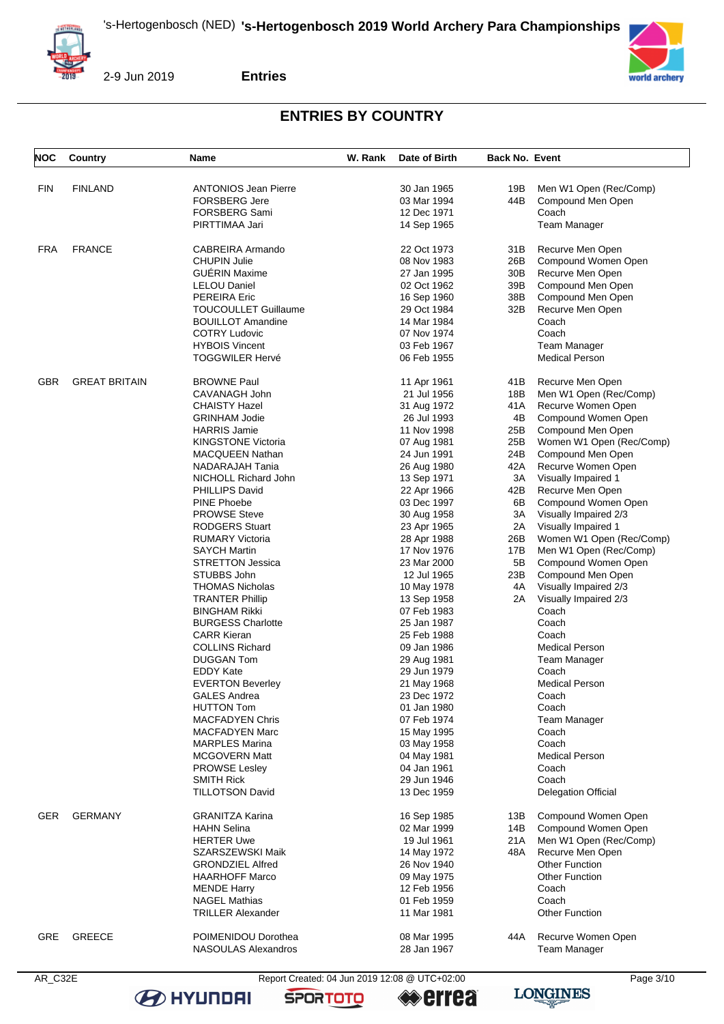



2-9 Jun 2019

**Entries**

# **ENTRIES BY COUNTRY**

| <b>NOC</b> | Country              | <b>Name</b>                 | W. Rank | Date of Birth | <b>Back No. Event</b> |                            |
|------------|----------------------|-----------------------------|---------|---------------|-----------------------|----------------------------|
|            |                      |                             |         |               |                       |                            |
| <b>FIN</b> | <b>FINLAND</b>       | <b>ANTONIOS Jean Pierre</b> |         | 30 Jan 1965   | 19B                   | Men W1 Open (Rec/Comp)     |
|            |                      | <b>FORSBERG Jere</b>        |         | 03 Mar 1994   | 44B                   | Compound Men Open          |
|            |                      | <b>FORSBERG Sami</b>        |         | 12 Dec 1971   |                       | Coach                      |
|            |                      | PIRTTIMAA Jari              |         | 14 Sep 1965   |                       | <b>Team Manager</b>        |
| <b>FRA</b> | <b>FRANCE</b>        | CABREIRA Armando            |         | 22 Oct 1973   | 31 B                  | Recurve Men Open           |
|            |                      | <b>CHUPIN Julie</b>         |         | 08 Nov 1983   | 26B                   | Compound Women Open        |
|            |                      | <b>GUÉRIN Maxime</b>        |         | 27 Jan 1995   | 30B                   | Recurve Men Open           |
|            |                      | <b>LELOU Daniel</b>         |         | 02 Oct 1962   | 39B                   | Compound Men Open          |
|            |                      | <b>PEREIRA Eric</b>         |         | 16 Sep 1960   | 38B                   | Compound Men Open          |
|            |                      | <b>TOUCOULLET Guillaume</b> |         | 29 Oct 1984   | 32B                   | Recurve Men Open           |
|            |                      | <b>BOUILLOT Amandine</b>    |         | 14 Mar 1984   |                       | Coach                      |
|            |                      | <b>COTRY Ludovic</b>        |         | 07 Nov 1974   |                       | Coach                      |
|            |                      | <b>HYBOIS Vincent</b>       |         | 03 Feb 1967   |                       | <b>Team Manager</b>        |
|            |                      | <b>TOGGWILER Hervé</b>      |         | 06 Feb 1955   |                       | <b>Medical Person</b>      |
|            |                      |                             |         |               |                       |                            |
| <b>GBR</b> | <b>GREAT BRITAIN</b> | <b>BROWNE Paul</b>          |         | 11 Apr 1961   | 41 B                  | Recurve Men Open           |
|            |                      | CAVANAGH John               |         | 21 Jul 1956   | 18B                   | Men W1 Open (Rec/Comp)     |
|            |                      | <b>CHAISTY Hazel</b>        |         | 31 Aug 1972   | 41 A                  | Recurve Women Open         |
|            |                      | <b>GRINHAM Jodie</b>        |         | 26 Jul 1993   | 4B                    | Compound Women Open        |
|            |                      | <b>HARRIS Jamie</b>         |         | 11 Nov 1998   | 25B                   | Compound Men Open          |
|            |                      | <b>KINGSTONE Victoria</b>   |         | 07 Aug 1981   | 25B                   | Women W1 Open (Rec/Comp)   |
|            |                      | MACQUEEN Nathan             |         | 24 Jun 1991   | 24B                   | Compound Men Open          |
|            |                      | NADARAJAH Tania             |         | 26 Aug 1980   | 42A                   | Recurve Women Open         |
|            |                      | NICHOLL Richard John        |         | 13 Sep 1971   | 3A                    | Visually Impaired 1        |
|            |                      | PHILLIPS David              |         | 22 Apr 1966   | 42B                   | Recurve Men Open           |
|            |                      | <b>PINE Phoebe</b>          |         | 03 Dec 1997   | 6B                    | Compound Women Open        |
|            |                      | <b>PROWSE Steve</b>         |         | 30 Aug 1958   | ЗΑ                    | Visually Impaired 2/3      |
|            |                      | <b>RODGERS Stuart</b>       |         | 23 Apr 1965   | 2A                    | Visually Impaired 1        |
|            |                      | <b>RUMARY Victoria</b>      |         | 28 Apr 1988   | 26B                   | Women W1 Open (Rec/Comp)   |
|            |                      | <b>SAYCH Martin</b>         |         | 17 Nov 1976   | 17B                   | Men W1 Open (Rec/Comp)     |
|            |                      | <b>STRETTON Jessica</b>     |         | 23 Mar 2000   | 5B                    | Compound Women Open        |
|            |                      |                             |         |               |                       |                            |
|            |                      | STUBBS John                 |         | 12 Jul 1965   | 23B                   | Compound Men Open          |
|            |                      | <b>THOMAS Nicholas</b>      |         | 10 May 1978   | 4A                    | Visually Impaired 2/3      |
|            |                      | <b>TRANTER Phillip</b>      |         | 13 Sep 1958   | 2A                    | Visually Impaired 2/3      |
|            |                      | <b>BINGHAM Rikki</b>        |         | 07 Feb 1983   |                       | Coach                      |
|            |                      | <b>BURGESS Charlotte</b>    |         | 25 Jan 1987   |                       | Coach                      |
|            |                      | <b>CARR Kieran</b>          |         | 25 Feb 1988   |                       | Coach                      |
|            |                      | <b>COLLINS Richard</b>      |         | 09 Jan 1986   |                       | <b>Medical Person</b>      |
|            |                      | <b>DUGGAN Tom</b>           |         | 29 Aug 1981   |                       | <b>Team Manager</b>        |
|            |                      | <b>EDDY Kate</b>            |         | 29 Jun 1979   |                       | Coach                      |
|            |                      | <b>EVERTON Beverley</b>     |         | 21 May 1968   |                       | <b>Medical Person</b>      |
|            |                      | <b>GALES Andrea</b>         |         | 23 Dec 1972   |                       | Coach                      |
|            |                      | <b>HUTTON Tom</b>           |         | 01 Jan 1980   |                       | Coach                      |
|            |                      | <b>MACFADYEN Chris</b>      |         | 07 Feb 1974   |                       | <b>Team Manager</b>        |
|            |                      | <b>MACFADYEN Marc</b>       |         | 15 May 1995   |                       | Coach                      |
|            |                      | <b>MARPLES Marina</b>       |         | 03 May 1958   |                       | Coach                      |
|            |                      | <b>MCGOVERN Matt</b>        |         | 04 May 1981   |                       | <b>Medical Person</b>      |
|            |                      | <b>PROWSE Lesley</b>        |         | 04 Jan 1961   |                       | Coach                      |
|            |                      | <b>SMITH Rick</b>           |         | 29 Jun 1946   |                       | Coach                      |
|            |                      | <b>TILLOTSON David</b>      |         | 13 Dec 1959   |                       | <b>Delegation Official</b> |
| GER        | <b>GERMANY</b>       | <b>GRANITZA Karina</b>      |         | 16 Sep 1985   | 13B                   | Compound Women Open        |
|            |                      | <b>HAHN Selina</b>          |         | 02 Mar 1999   | 14B I                 | Compound Women Open        |
|            |                      | <b>HERTER Uwe</b>           |         | 19 Jul 1961   | 21 A                  | Men W1 Open (Rec/Comp)     |
|            |                      | SZARSZEWSKI Maik            |         | 14 May 1972   | 48A                   | Recurve Men Open           |
|            |                      | <b>GRONDZIEL Alfred</b>     |         | 26 Nov 1940   |                       | <b>Other Function</b>      |
|            |                      |                             |         |               |                       |                            |
|            |                      | <b>HAARHOFF Marco</b>       |         | 09 May 1975   |                       | <b>Other Function</b>      |
|            |                      | <b>MENDE Harry</b>          |         | 12 Feb 1956   |                       | Coach                      |
|            |                      | <b>NAGEL Mathias</b>        |         | 01 Feb 1959   |                       | Coach                      |
|            |                      | <b>TRILLER Alexander</b>    |         | 11 Mar 1981   |                       | <b>Other Function</b>      |
| GRE        | <b>GREECE</b>        | POIMENIDOU Dorothea         |         | 08 Mar 1995   | 44A                   | Recurve Women Open         |
|            |                      | NASOULAS Alexandros         |         | 28 Jan 1967   |                       | <b>Team Manager</b>        |
|            |                      |                             |         |               |                       |                            |

**B** HYUNDAI

AR\_C32E Report Created: 04 Jun 2019 12:08 @ UTC+02:00 Page 3/10

**SPORTOTO** 



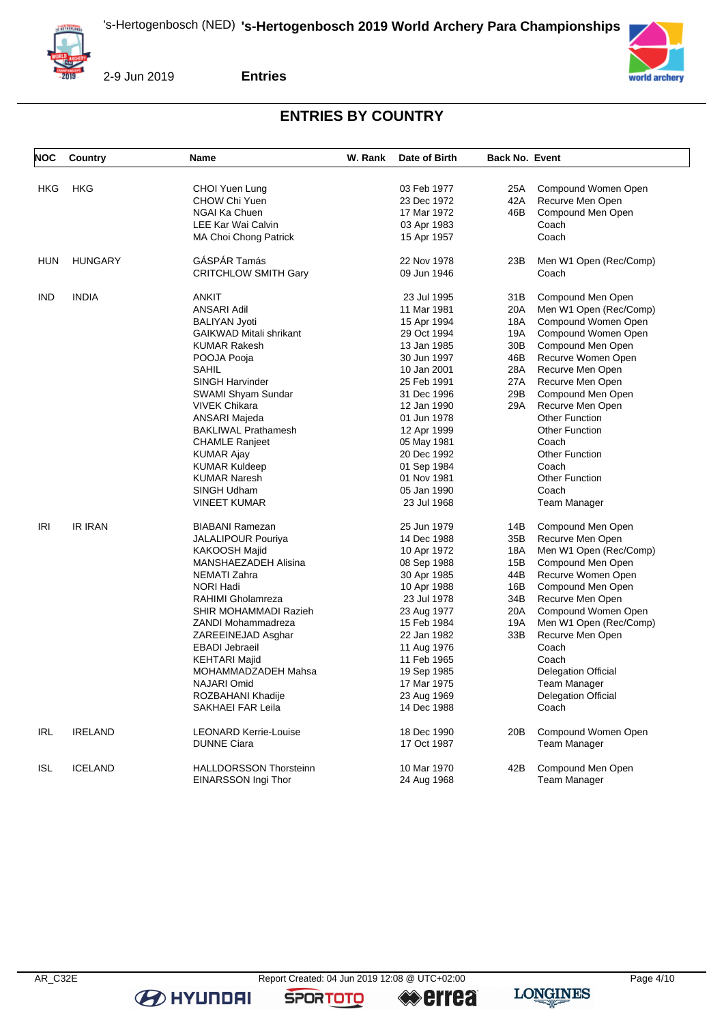



2-9 Jun 2019

**Entries**

# **ENTRIES BY COUNTRY**

| <b>NOC</b> | Country        | <b>Name</b>                    | W. Rank | Date of Birth | <b>Back No. Event</b> |                            |
|------------|----------------|--------------------------------|---------|---------------|-----------------------|----------------------------|
| <b>HKG</b> | <b>HKG</b>     | CHOI Yuen Lung                 |         | 03 Feb 1977   | 25A                   | Compound Women Open        |
|            |                | CHOW Chi Yuen                  |         | 23 Dec 1972   | 42A                   | Recurve Men Open           |
|            |                | NGAI Ka Chuen                  |         | 17 Mar 1972   | 46B                   | Compound Men Open          |
|            |                | LEE Kar Wai Calvin             |         | 03 Apr 1983   |                       | Coach                      |
|            |                | MA Choi Chong Patrick          |         | 15 Apr 1957   |                       | Coach                      |
|            |                |                                |         |               |                       |                            |
| <b>HUN</b> | <b>HUNGARY</b> | GÁSPÁR Tamás                   |         | 22 Nov 1978   | 23B                   | Men W1 Open (Rec/Comp)     |
|            |                | <b>CRITCHLOW SMITH Gary</b>    |         | 09 Jun 1946   |                       | Coach                      |
| IND        | <b>INDIA</b>   | <b>ANKIT</b>                   |         | 23 Jul 1995   | 31 B                  | Compound Men Open          |
|            |                | <b>ANSARI Adil</b>             |         | 11 Mar 1981   | 20A                   | Men W1 Open (Rec/Comp)     |
|            |                | <b>BALIYAN Jyoti</b>           |         | 15 Apr 1994   | 18A                   | Compound Women Open        |
|            |                | <b>GAIKWAD Mitali shrikant</b> |         | 29 Oct 1994   | 19A                   | Compound Women Open        |
|            |                | <b>KUMAR Rakesh</b>            |         | 13 Jan 1985   | 30B                   | Compound Men Open          |
|            |                | POOJA Pooja                    |         | 30 Jun 1997   | 46B                   | Recurve Women Open         |
|            |                | SAHIL                          |         | 10 Jan 2001   | 28A                   | Recurve Men Open           |
|            |                | SINGH Harvinder                |         | 25 Feb 1991   | 27A                   | Recurve Men Open           |
|            |                | SWAMI Shyam Sundar             |         | 31 Dec 1996   | 29B                   | Compound Men Open          |
|            |                | VIVEK Chikara                  |         | 12 Jan 1990   | 29A                   | Recurve Men Open           |
|            |                | ANSARI Majeda                  |         | 01 Jun 1978   |                       | <b>Other Function</b>      |
|            |                | <b>BAKLIWAL Prathamesh</b>     |         | 12 Apr 1999   |                       | <b>Other Function</b>      |
|            |                | <b>CHAMLE Ranjeet</b>          |         | 05 May 1981   |                       | Coach                      |
|            |                | KUMAR Ajay                     |         | 20 Dec 1992   |                       | <b>Other Function</b>      |
|            |                | <b>KUMAR Kuldeep</b>           |         | 01 Sep 1984   |                       | Coach                      |
|            |                | <b>KUMAR Naresh</b>            |         | 01 Nov 1981   |                       | <b>Other Function</b>      |
|            |                | SINGH Udham                    |         | 05 Jan 1990   |                       | Coach                      |
|            |                | <b>VINEET KUMAR</b>            |         | 23 Jul 1968   |                       | <b>Team Manager</b>        |
|            |                |                                |         |               |                       |                            |
| <b>IRI</b> | <b>IR IRAN</b> | <b>BIABANI Ramezan</b>         |         | 25 Jun 1979   | 14B                   | Compound Men Open          |
|            |                | <b>JALALIPOUR Pouriya</b>      |         | 14 Dec 1988   | 35B                   | Recurve Men Open           |
|            |                | <b>KAKOOSH Majid</b>           |         | 10 Apr 1972   | 18A                   | Men W1 Open (Rec/Comp)     |
|            |                | MANSHAEZADEH Alisina           |         | 08 Sep 1988   | 15B                   | Compound Men Open          |
|            |                | NEMATI Zahra                   |         | 30 Apr 1985   | 44B                   | Recurve Women Open         |
|            |                | <b>NORI Hadi</b>               |         | 10 Apr 1988   | 16B                   | Compound Men Open          |
|            |                | RAHIMI Gholamreza              |         | 23 Jul 1978   | 34B                   | Recurve Men Open           |
|            |                | SHIR MOHAMMADI Razieh          |         | 23 Aug 1977   | 20A                   | Compound Women Open        |
|            |                | ZANDI Mohammadreza             |         | 15 Feb 1984   | 19A                   | Men W1 Open (Rec/Comp)     |
|            |                | ZAREEINEJAD Asghar             |         | 22 Jan 1982   | 33B                   | Recurve Men Open           |
|            |                | <b>EBADI</b> Jebraeil          |         | 11 Aug 1976   |                       | Coach                      |
|            |                | <b>KEHTARI Majid</b>           |         | 11 Feb 1965   |                       | Coach                      |
|            |                | MOHAMMADZADEH Mahsa            |         | 19 Sep 1985   |                       | <b>Delegation Official</b> |
|            |                | NAJARI Omid                    |         | 17 Mar 1975   |                       | <b>Team Manager</b>        |
|            |                | ROZBAHANI Khadije              |         | 23 Aug 1969   |                       | <b>Delegation Official</b> |
|            |                | SAKHAEI FAR Leila              |         | 14 Dec 1988   |                       | Coach                      |
| IRL        | <b>IRELAND</b> | <b>LEONARD Kerrie-Louise</b>   |         | 18 Dec 1990   | 20 <sub>B</sub>       | Compound Women Open        |
|            |                | <b>DUNNE Ciara</b>             |         | 17 Oct 1987   |                       | <b>Team Manager</b>        |
|            |                |                                |         |               |                       |                            |
| <b>ISL</b> | <b>ICELAND</b> | <b>HALLDORSSON Thorsteinn</b>  |         | 10 Mar 1970   | 42B                   | Compound Men Open          |
|            |                | EINARSSON Ingi Thor            |         | 24 Aug 1968   |                       | Team Manager               |

**B** HYUNDAI

**SPORTOTO** 

**errea** 

**LONGINES**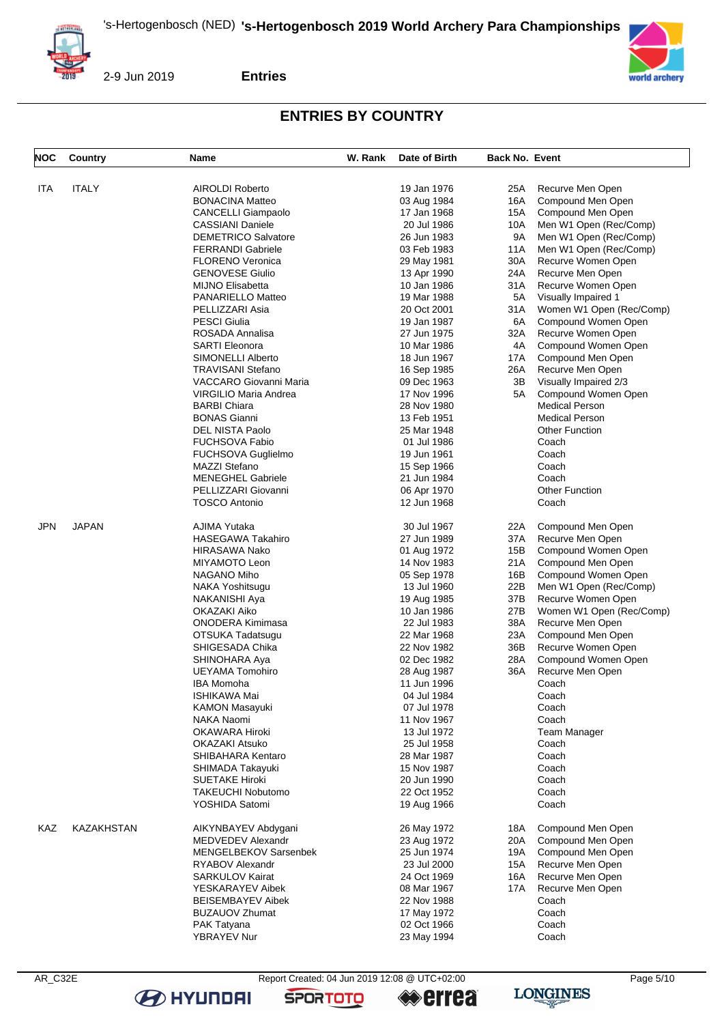



2-9 Jun 2019

**Entries**

## **ENTRIES BY COUNTRY**

| <b>NOC</b> | Country      | Name                         | W. Rank | Date of Birth | <b>Back No. Event</b> |                          |
|------------|--------------|------------------------------|---------|---------------|-----------------------|--------------------------|
|            |              |                              |         |               |                       |                          |
| ITA        | <b>ITALY</b> | <b>AIROLDI Roberto</b>       |         | 19 Jan 1976   | 25A                   | Recurve Men Open         |
|            |              | <b>BONACINA Matteo</b>       |         | 03 Aug 1984   | 16A                   | Compound Men Open        |
|            |              | CANCELLI Giampaolo           |         | 17 Jan 1968   | 15A                   | Compound Men Open        |
|            |              | <b>CASSIANI Daniele</b>      |         | 20 Jul 1986   | 10A                   | Men W1 Open (Rec/Comp)   |
|            |              | <b>DEMETRICO Salvatore</b>   |         | 26 Jun 1983   | 9A                    | Men W1 Open (Rec/Comp)   |
|            |              | <b>FERRANDI Gabriele</b>     |         |               | 11A                   |                          |
|            |              |                              |         | 03 Feb 1983   |                       | Men W1 Open (Rec/Comp)   |
|            |              | <b>FLORENO Veronica</b>      |         | 29 May 1981   | 30A                   | Recurve Women Open       |
|            |              | <b>GENOVESE Giulio</b>       |         | 13 Apr 1990   | 24A                   | Recurve Men Open         |
|            |              | <b>MIJNO Elisabetta</b>      |         | 10 Jan 1986   | 31 A                  | Recurve Women Open       |
|            |              | PANARIELLO Matteo            |         | 19 Mar 1988   | 5A                    | Visually Impaired 1      |
|            |              | PELLIZZARI Asia              |         | 20 Oct 2001   | 31 A                  | Women W1 Open (Rec/Comp) |
|            |              | <b>PESCI Giulia</b>          |         | 19 Jan 1987   | 6A                    | Compound Women Open      |
|            |              | ROSADA Annalisa              |         | 27 Jun 1975   | 32A                   | Recurve Women Open       |
|            |              | <b>SARTI Eleonora</b>        |         | 10 Mar 1986   | 4A                    | Compound Women Open      |
|            |              | SIMONELLI Alberto            |         | 18 Jun 1967   | 17A                   | Compound Men Open        |
|            |              | TRAVISANI Stefano            |         | 16 Sep 1985   | 26A                   | Recurve Men Open         |
|            |              | VACCARO Giovanni Maria       |         | 09 Dec 1963   | 3В                    | Visually Impaired 2/3    |
|            |              |                              |         |               |                       |                          |
|            |              | VIRGILIO Maria Andrea        |         | 17 Nov 1996   | 5A                    | Compound Women Open      |
|            |              | <b>BARBI Chiara</b>          |         | 28 Nov 1980   |                       | <b>Medical Person</b>    |
|            |              | <b>BONAS Gianni</b>          |         | 13 Feb 1951   |                       | <b>Medical Person</b>    |
|            |              | DEL NISTA Paolo              |         | 25 Mar 1948   |                       | <b>Other Function</b>    |
|            |              | FUCHSOVA Fabio               |         | 01 Jul 1986   |                       | Coach                    |
|            |              | FUCHSOVA Guglielmo           |         | 19 Jun 1961   |                       | Coach                    |
|            |              | <b>MAZZI Stefano</b>         |         | 15 Sep 1966   |                       | Coach                    |
|            |              | <b>MENEGHEL Gabriele</b>     |         | 21 Jun 1984   |                       | Coach                    |
|            |              | PELLIZZARI Giovanni          |         | 06 Apr 1970   |                       | <b>Other Function</b>    |
|            |              | <b>TOSCO Antonio</b>         |         | 12 Jun 1968   |                       | Coach                    |
|            |              |                              |         |               |                       |                          |
| <b>JPN</b> | <b>JAPAN</b> | AJIMA Yutaka                 |         | 30 Jul 1967   | 22A                   | Compound Men Open        |
|            |              | <b>HASEGAWA Takahiro</b>     |         | 27 Jun 1989   | 37A                   | Recurve Men Open         |
|            |              | HIRASAWA Nako                |         | 01 Aug 1972   | 15B                   | Compound Women Open      |
|            |              | MIYAMOTO Leon                |         | 14 Nov 1983   | 21 A                  | Compound Men Open        |
|            |              | NAGANO Miho                  |         | 05 Sep 1978   | 16B                   | Compound Women Open      |
|            |              |                              |         |               | 22B                   |                          |
|            |              | NAKA Yoshitsugu              |         | 13 Jul 1960   |                       | Men W1 Open (Rec/Comp)   |
|            |              | NAKANISHI Aya                |         | 19 Aug 1985   | 37B                   | Recurve Women Open       |
|            |              | OKAZAKI Aiko                 |         | 10 Jan 1986   | 27B                   | Women W1 Open (Rec/Comp) |
|            |              | ONODERA Kimimasa             |         | 22 Jul 1983   | 38A                   | Recurve Men Open         |
|            |              | OTSUKA Tadatsugu             |         | 22 Mar 1968   | 23A                   | Compound Men Open        |
|            |              | SHIGESADA Chika              |         | 22 Nov 1982   | 36B                   | Recurve Women Open       |
|            |              | SHINOHARA Aya                |         | 02 Dec 1982   | 28A                   | Compound Women Open      |
|            |              | <b>UEYAMA Tomohiro</b>       |         | 28 Aug 1987   | 36A                   | Recurve Men Open         |
|            |              | IBA Momoha                   |         | 11 Jun 1996   |                       | Coach                    |
|            |              | <b>ISHIKAWA Mai</b>          |         | 04 Jul 1984   |                       | Coach                    |
|            |              | <b>KAMON Masayuki</b>        |         | 07 Jul 1978   |                       | Coach                    |
|            |              | NAKA Naomi                   |         | 11 Nov 1967   |                       | Coach                    |
|            |              |                              |         |               |                       |                          |
|            |              | OKAWARA Hiroki               |         | 13 Jul 1972   |                       | <b>Team Manager</b>      |
|            |              | OKAZAKI Atsuko               |         | 25 Jul 1958   |                       | Coach                    |
|            |              | SHIBAHARA Kentaro            |         | 28 Mar 1987   |                       | Coach                    |
|            |              | SHIMADA Takayuki             |         | 15 Nov 1987   |                       | Coach                    |
|            |              | <b>SUETAKE Hiroki</b>        |         | 20 Jun 1990   |                       | Coach                    |
|            |              | TAKEUCHI Nobutomo            |         | 22 Oct 1952   |                       | Coach                    |
|            |              | YOSHIDA Satomi               |         | 19 Aug 1966   |                       | Coach                    |
|            |              |                              |         |               |                       |                          |
| <b>KAZ</b> | KAZAKHSTAN   | AIKYNBAYEV Abdygani          |         | 26 May 1972   | 18A                   | Compound Men Open        |
|            |              | MEDVEDEV Alexandr            |         | 23 Aug 1972   | 20A                   | Compound Men Open        |
|            |              | <b>MENGELBEKOV Sarsenbek</b> |         | 25 Jun 1974   | 19A                   | Compound Men Open        |
|            |              | RYABOV Alexandr              |         | 23 Jul 2000   | 15A                   | Recurve Men Open         |
|            |              | <b>SARKULOV Kairat</b>       |         | 24 Oct 1969   | 16A                   | Recurve Men Open         |
|            |              |                              |         |               |                       |                          |
|            |              | YESKARAYEV Aibek             |         | 08 Mar 1967   | 17A                   | Recurve Men Open         |
|            |              | <b>BEISEMBAYEV Aibek</b>     |         | 22 Nov 1988   |                       | Coach                    |
|            |              | <b>BUZAUOV Zhumat</b>        |         | 17 May 1972   |                       | Coach                    |
|            |              | PAK Tatyana                  |         | 02 Oct 1966   |                       | Coach                    |
|            |              | YBRAYEV Nur                  |         | 23 May 1994   |                       | Coach                    |
|            |              |                              |         |               |                       |                          |

**B** HYUNDAI

AR\_C32E Report Created: 04 Jun 2019 12:08 @ UTC+02:00 Page 5/10

**SPORTOTO** 

**«errea** 

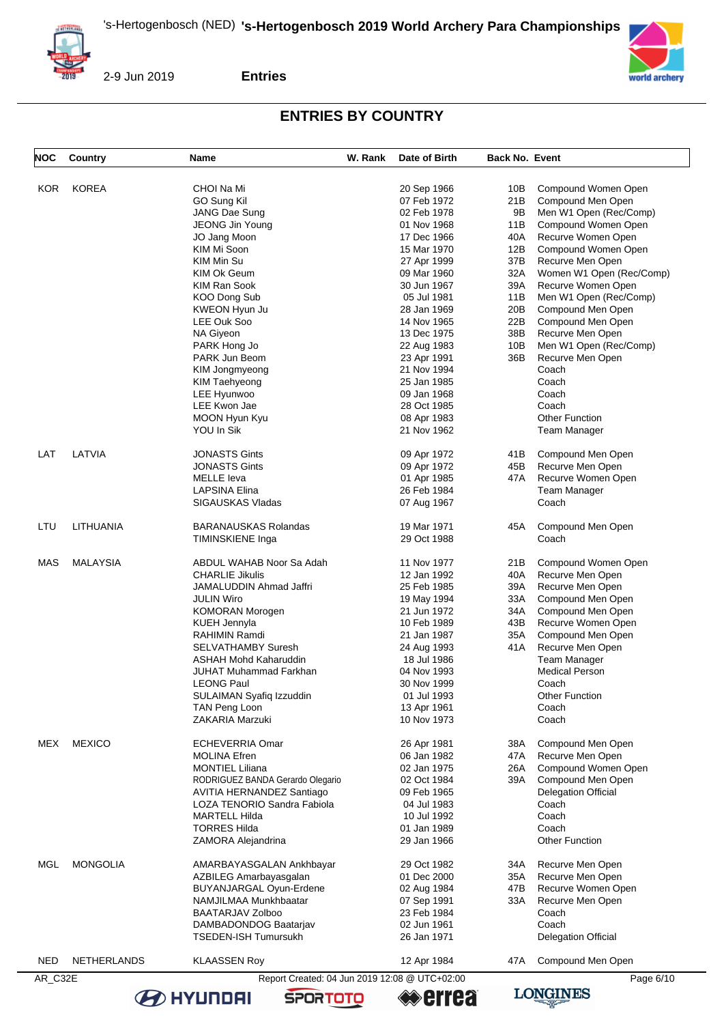



**Entries**

# **ENTRIES BY COUNTRY**

| NOC        | Country         | Name                                          | W. Rank | Date of Birth      | <b>Back No. Event</b> |                            |
|------------|-----------------|-----------------------------------------------|---------|--------------------|-----------------------|----------------------------|
|            |                 |                                               |         |                    |                       |                            |
| <b>KOR</b> | <b>KOREA</b>    | CHOI Na Mi                                    |         | 20 Sep 1966        | 10B                   | Compound Women Open        |
|            |                 | GO Sung Kil                                   |         | 07 Feb 1972        | 21B                   | Compound Men Open          |
|            |                 | JANG Dae Sung                                 |         | 02 Feb 1978        | 9Β                    | Men W1 Open (Rec/Comp)     |
|            |                 | JEONG Jin Young                               |         | 01 Nov 1968        | 11B                   | Compound Women Open        |
|            |                 | JO Jang Moon                                  |         | 17 Dec 1966        | 40A                   | Recurve Women Open         |
|            |                 | KIM Mi Soon                                   |         | 15 Mar 1970        | 12B                   | Compound Women Open        |
|            |                 | KIM Min Su                                    |         | 27 Apr 1999        | 37B                   | Recurve Men Open           |
|            |                 | KIM Ok Geum                                   |         | 09 Mar 1960        | 32A                   | Women W1 Open (Rec/Comp)   |
|            |                 |                                               |         |                    |                       |                            |
|            |                 | <b>KIM Ran Sook</b>                           |         | 30 Jun 1967        | 39A                   | Recurve Women Open         |
|            |                 | KOO Dong Sub                                  |         | 05 Jul 1981        | 11B                   | Men W1 Open (Rec/Comp)     |
|            |                 | KWEON Hyun Ju                                 |         | 28 Jan 1969        | 20B                   | Compound Men Open          |
|            |                 | LEE Ouk Soo                                   |         | 14 Nov 1965        | 22B                   | Compound Men Open          |
|            |                 | NA Giyeon                                     |         | 13 Dec 1975        | 38B                   | Recurve Men Open           |
|            |                 | PARK Hong Jo                                  |         | 22 Aug 1983        | 10B                   | Men W1 Open (Rec/Comp)     |
|            |                 | PARK Jun Beom                                 |         | 23 Apr 1991        | 36B                   | Recurve Men Open           |
|            |                 | KIM Jongmyeong                                |         | 21 Nov 1994        |                       | Coach                      |
|            |                 |                                               |         |                    |                       |                            |
|            |                 | KIM Taehyeong                                 |         | 25 Jan 1985        |                       | Coach                      |
|            |                 | LEE Hyunwoo                                   |         | 09 Jan 1968        |                       | Coach                      |
|            |                 | LEE Kwon Jae                                  |         | 28 Oct 1985        |                       | Coach                      |
|            |                 | MOON Hyun Kyu                                 |         | 08 Apr 1983        |                       | <b>Other Function</b>      |
|            |                 | YOU In Sik                                    |         | 21 Nov 1962        |                       | <b>Team Manager</b>        |
|            |                 |                                               |         |                    |                       |                            |
| LAT        | LATVIA          | <b>JONASTS Gints</b>                          |         | 09 Apr 1972        | 41 B                  | Compound Men Open          |
|            |                 | <b>JONASTS Gints</b>                          |         | 09 Apr 1972        | 45B                   | Recurve Men Open           |
|            |                 | <b>MELLE</b> leva                             |         | 01 Apr 1985        | 47 A                  | Recurve Women Open         |
|            |                 | <b>LAPSINA Elina</b>                          |         | 26 Feb 1984        |                       |                            |
|            |                 |                                               |         |                    |                       | Team Manager               |
|            |                 | SIGAUSKAS Vladas                              |         | 07 Aug 1967        |                       | Coach                      |
|            |                 |                                               |         |                    |                       |                            |
| LTU        | LITHUANIA       | BARANAUSKAS Rolandas                          |         | 19 Mar 1971        | 45A                   | Compound Men Open          |
|            |                 | <b>TIMINSKIENE Inga</b>                       |         | 29 Oct 1988        |                       | Coach                      |
|            |                 |                                               |         |                    |                       |                            |
| MAS        | <b>MALAYSIA</b> | ABDUL WAHAB Noor Sa Adah                      |         | 11 Nov 1977        | 21B                   | Compound Women Open        |
|            |                 | <b>CHARLIE Jikulis</b>                        |         | 12 Jan 1992        | 40A                   | Recurve Men Open           |
|            |                 | <b>JAMALUDDIN Ahmad Jaffri</b>                |         | 25 Feb 1985        | 39A                   | Recurve Men Open           |
|            |                 | <b>JULIN Wiro</b>                             |         | 19 May 1994        | 33A                   | Compound Men Open          |
|            |                 | <b>KOMORAN Morogen</b>                        |         | 21 Jun 1972        | 34A                   | Compound Men Open          |
|            |                 | KUEH Jennyla                                  |         | 10 Feb 1989        | 43B                   | Recurve Women Open         |
|            |                 | <b>RAHIMIN Ramdi</b>                          |         | 21 Jan 1987        | 35A                   | Compound Men Open          |
|            |                 | <b>SELVATHAMBY Suresh</b>                     |         | 24 Aug 1993        | 41 A                  | Recurve Men Open           |
|            |                 |                                               |         |                    |                       |                            |
|            |                 | <b>ASHAH Mohd Kaharuddin</b>                  |         | 18 Jul 1986        |                       | Team Manager               |
|            |                 | JUHAT Muhammad Farkhan                        |         | 04 Nov 1993        |                       | <b>Medical Person</b>      |
|            |                 | <b>LEONG Paul</b>                             |         | 30 Nov 1999        |                       | Coach                      |
|            |                 | SULAIMAN Syafiq Izzuddin                      |         | 01 Jul 1993        |                       | <b>Other Function</b>      |
|            |                 | TAN Peng Loon                                 |         | 13 Apr 1961        |                       | Coach                      |
|            |                 | ZAKARIA Marzuki                               |         | 10 Nov 1973        |                       | Coach                      |
|            |                 |                                               |         |                    |                       |                            |
| MEX        | <b>MEXICO</b>   | <b>ECHEVERRIA Omar</b>                        |         | 26 Apr 1981        | 38A                   | Compound Men Open          |
|            |                 | <b>MOLINA Efren</b>                           |         | 06 Jan 1982        | 47A                   | Recurve Men Open           |
|            |                 | <b>MONTIEL Liliana</b>                        |         | 02 Jan 1975        | 26A                   | Compound Women Open        |
|            |                 | RODRIGUEZ BANDA Gerardo Olegario              |         | 02 Oct 1984        | 39A                   | Compound Men Open          |
|            |                 | AVITIA HERNANDEZ Santiago                     |         | 09 Feb 1965        |                       | <b>Delegation Official</b> |
|            |                 |                                               |         |                    |                       |                            |
|            |                 | LOZA TENORIO Sandra Fabiola                   |         | 04 Jul 1983        |                       | Coach                      |
|            |                 | <b>MARTELL Hilda</b>                          |         | 10 Jul 1992        |                       | Coach                      |
|            |                 | <b>TORRES Hilda</b>                           |         | 01 Jan 1989        |                       | Coach                      |
|            |                 | ZAMORA Alejandrina                            |         | 29 Jan 1966        |                       | <b>Other Function</b>      |
|            |                 |                                               |         |                    |                       |                            |
| MGL        | <b>MONGOLIA</b> | AMARBAYASGALAN Ankhbayar                      |         | 29 Oct 1982        | 34A                   | Recurve Men Open           |
|            |                 | AZBILEG Amarbayasgalan                        |         | 01 Dec 2000        | 35A                   | Recurve Men Open           |
|            |                 | BUYANJARGAL Oyun-Erdene                       |         | 02 Aug 1984        | 47B                   | Recurve Women Open         |
|            |                 | NAMJILMAA Munkhbaatar                         |         | 07 Sep 1991        | 33A                   | Recurve Men Open           |
|            |                 | <b>BAATARJAV Zolboo</b>                       |         | 23 Feb 1984        |                       | Coach                      |
|            |                 | DAMBADONDOG Baatarjav                         |         | 02 Jun 1961        |                       | Coach                      |
|            |                 | TSEDEN-ISH Tumursukh                          |         | 26 Jan 1971        |                       | <b>Delegation Official</b> |
|            |                 |                                               |         |                    |                       |                            |
| <b>NED</b> | NETHERLANDS     | <b>KLAASSEN Roy</b>                           |         | 12 Apr 1984        | 47 A                  | Compound Men Open          |
| AR_C32E    |                 | Report Created: 04 Jun 2019 12:08 @ UTC+02:00 |         |                    |                       | Page 6/10                  |
|            |                 |                                               |         |                    |                       | <b>LONGINES</b>            |
|            |                 | <b>O HYUNDAI</b><br><b>SPORTOTO</b>           |         | <del>≪</del> errea |                       |                            |

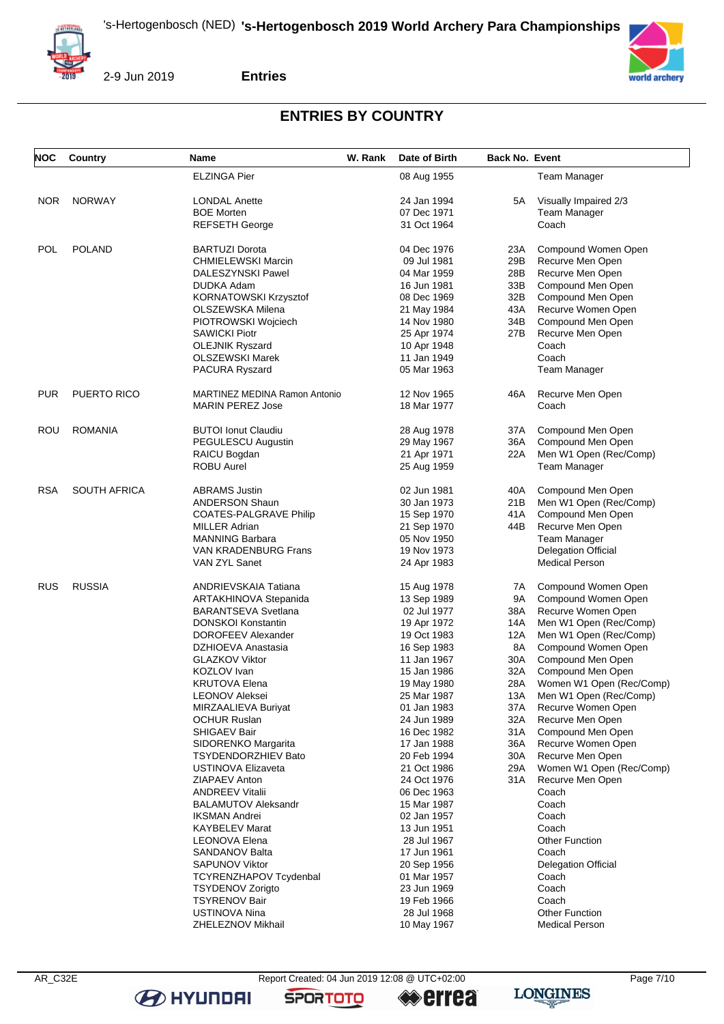



2-9 Jun 2019

**Entries**

## **ENTRIES BY COUNTRY**

| <b>NOC</b> | Country             | Name                                 | W. Rank | Date of Birth | Back No. Event |                            |
|------------|---------------------|--------------------------------------|---------|---------------|----------------|----------------------------|
|            |                     | <b>ELZINGA Pier</b>                  |         | 08 Aug 1955   |                | Team Manager               |
| <b>NOR</b> | <b>NORWAY</b>       | <b>LONDAL Anette</b>                 |         | 24 Jan 1994   | 5A             | Visually Impaired 2/3      |
|            |                     | <b>BOE Morten</b>                    |         | 07 Dec 1971   |                | <b>Team Manager</b>        |
|            |                     | <b>REFSETH George</b>                |         | 31 Oct 1964   |                | Coach                      |
| <b>POL</b> | <b>POLAND</b>       | <b>BARTUZI Dorota</b>                |         | 04 Dec 1976   | 23A            | Compound Women Open        |
|            |                     | <b>CHMIELEWSKI Marcin</b>            |         | 09 Jul 1981   | 29B            | Recurve Men Open           |
|            |                     | DALESZYNSKI Pawel                    |         | 04 Mar 1959   | 28B            | Recurve Men Open           |
|            |                     | <b>DUDKA Adam</b>                    |         | 16 Jun 1981   | 33B            | Compound Men Open          |
|            |                     | KORNATOWSKI Krzysztof                |         | 08 Dec 1969   | 32B            | Compound Men Open          |
|            |                     | OLSZEWSKA Milena                     |         | 21 May 1984   | 43A            | Recurve Women Open         |
|            |                     | PIOTROWSKI Wojciech                  |         | 14 Nov 1980   | 34B            | Compound Men Open          |
|            |                     | <b>SAWICKI Piotr</b>                 |         | 25 Apr 1974   | 27B            | Recurve Men Open           |
|            |                     | <b>OLEJNIK Ryszard</b>               |         | 10 Apr 1948   |                | Coach                      |
|            |                     | OLSZEWSKI Marek                      |         | 11 Jan 1949   |                | Coach                      |
|            |                     | PACURA Ryszard                       |         | 05 Mar 1963   |                | Team Manager               |
|            |                     |                                      |         |               |                |                            |
| <b>PUR</b> | PUERTO RICO         | <b>MARTINEZ MEDINA Ramon Antonio</b> |         | 12 Nov 1965   | 46A            | Recurve Men Open           |
|            |                     | <b>MARIN PEREZ Jose</b>              |         | 18 Mar 1977   |                | Coach                      |
| ROU        | <b>ROMANIA</b>      | <b>BUTOI Ionut Claudiu</b>           |         | 28 Aug 1978   | 37A            | Compound Men Open          |
|            |                     | PEGULESCU Augustin                   |         | 29 May 1967   | 36A            | Compound Men Open          |
|            |                     | RAICU Bogdan                         |         | 21 Apr 1971   | 22A            | Men W1 Open (Rec/Comp)     |
|            |                     | <b>ROBU Aurel</b>                    |         | 25 Aug 1959   |                | <b>Team Manager</b>        |
|            |                     |                                      |         |               |                |                            |
| <b>RSA</b> | <b>SOUTH AFRICA</b> | <b>ABRAMS Justin</b>                 |         | 02 Jun 1981   | 40A            | Compound Men Open          |
|            |                     | <b>ANDERSON Shaun</b>                |         | 30 Jan 1973   | 21B            | Men W1 Open (Rec/Comp)     |
|            |                     | <b>COATES-PALGRAVE Philip</b>        |         | 15 Sep 1970   | 41 A           | Compound Men Open          |
|            |                     | <b>MILLER Adrian</b>                 |         | 21 Sep 1970   | 44B            | Recurve Men Open           |
|            |                     | <b>MANNING Barbara</b>               |         | 05 Nov 1950   |                | Team Manager               |
|            |                     | <b>VAN KRADENBURG Frans</b>          |         | 19 Nov 1973   |                | <b>Delegation Official</b> |
|            |                     | VAN ZYL Sanet                        |         | 24 Apr 1983   |                | <b>Medical Person</b>      |
| RUS        | <b>RUSSIA</b>       | ANDRIEVSKAIA Tatiana                 |         | 15 Aug 1978   | 7A             | Compound Women Open        |
|            |                     | ARTAKHINOVA Stepanida                |         | 13 Sep 1989   | 9A             | Compound Women Open        |
|            |                     | <b>BARANTSEVA Svetlana</b>           |         | 02 Jul 1977   | 38A            | Recurve Women Open         |
|            |                     | <b>DONSKOI Konstantin</b>            |         | 19 Apr 1972   | 14A            | Men W1 Open (Rec/Comp)     |
|            |                     | DOROFEEV Alexander                   |         | 19 Oct 1983   | 12A            | Men W1 Open (Rec/Comp)     |
|            |                     | DZHIOEVA Anastasia                   |         | 16 Sep 1983   | 8A             | Compound Women Open        |
|            |                     | <b>GLAZKOV Viktor</b>                |         | 11 Jan 1967   | 30A            | Compound Men Open          |
|            |                     | KOZLOV Ivan                          |         | 15 Jan 1986   | 32A            | Compound Men Open          |
|            |                     | KRUTOVA Elena                        |         | 19 May 1980   | 28A            | Women W1 Open (Rec/Comp)   |
|            |                     | LEONOV Aleksei                       |         | 25 Mar 1987   | 13A            | Men W1 Open (Rec/Comp)     |
|            |                     | MIRZAALIEVA Buriyat                  |         | 01 Jan 1983   | 37A            | Recurve Women Open         |
|            |                     | OCHUR Ruslan                         |         | 24 Jun 1989   | 32A            | Recurve Men Open           |
|            |                     | SHIGAEV Bair                         |         | 16 Dec 1982   | 31 A           | Compound Men Open          |
|            |                     | SIDORENKO Margarita                  |         | 17 Jan 1988   | 36A            | Recurve Women Open         |
|            |                     | <b>TSYDENDORZHIEV Bato</b>           |         | 20 Feb 1994   | 30A            | Recurve Men Open           |
|            |                     | <b>USTINOVA Elizaveta</b>            |         | 21 Oct 1986   | 29A            | Women W1 Open (Rec/Comp)   |
|            |                     | ZIAPAEV Anton                        |         | 24 Oct 1976   | 31 A           | Recurve Men Open           |
|            |                     | <b>ANDREEV Vitalii</b>               |         | 06 Dec 1963   |                | Coach                      |
|            |                     | <b>BALAMUTOV Aleksandr</b>           |         | 15 Mar 1987   |                | Coach                      |
|            |                     | <b>IKSMAN Andrei</b>                 |         | 02 Jan 1957   |                | Coach                      |
|            |                     | <b>KAYBELEV Marat</b>                |         | 13 Jun 1951   |                | Coach                      |
|            |                     | <b>LEONOVA Elena</b>                 |         | 28 Jul 1967   |                | <b>Other Function</b>      |
|            |                     | SANDANOV Balta                       |         | 17 Jun 1961   |                | Coach                      |
|            |                     | <b>SAPUNOV Viktor</b>                |         | 20 Sep 1956   |                | <b>Delegation Official</b> |
|            |                     | <b>TCYRENZHAPOV Tcydenbal</b>        |         | 01 Mar 1957   |                | Coach                      |
|            |                     | <b>TSYDENOV Zorigto</b>              |         | 23 Jun 1969   |                | Coach                      |
|            |                     | <b>TSYRENOV Bair</b>                 |         | 19 Feb 1966   |                | Coach                      |
|            |                     | USTINOVA Nina                        |         | 28 Jul 1968   |                | <b>Other Function</b>      |
|            |                     | ZHELEZNOV Mikhail                    |         | 10 May 1967   |                | <b>Medical Person</b>      |

**B** HYUNDAI

**SPORTOTO** 

**errea** 

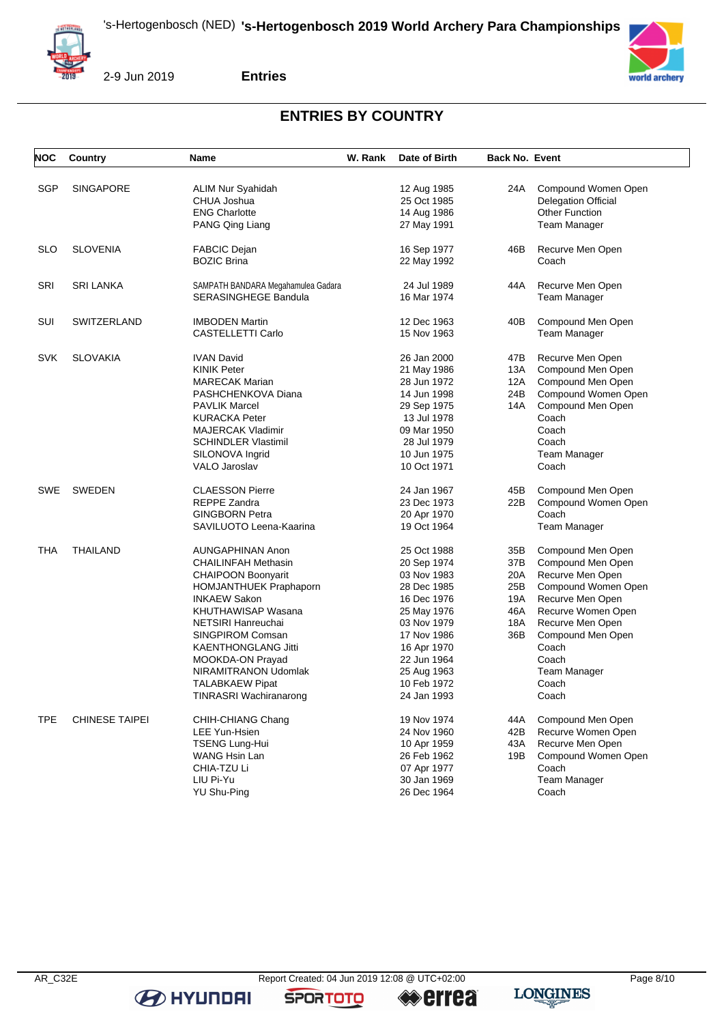



**Entries**

# **ENTRIES BY COUNTRY**

| NOC        | <b>Country</b>        | <b>Name</b>                               | W. Rank | Date of Birth              | <b>Back No. Event</b> |                                        |
|------------|-----------------------|-------------------------------------------|---------|----------------------------|-----------------------|----------------------------------------|
| SGP        | <b>SINGAPORE</b>      |                                           |         |                            |                       | Compound Women Open                    |
|            |                       | ALIM Nur Syahidah<br>CHUA Joshua          |         | 12 Aug 1985<br>25 Oct 1985 | 24A                   | <b>Delegation Official</b>             |
|            |                       | <b>ENG Charlotte</b>                      |         | 14 Aug 1986                |                       | <b>Other Function</b>                  |
|            |                       | PANG Qing Liang                           |         | 27 May 1991                |                       | Team Manager                           |
|            |                       |                                           |         |                            |                       |                                        |
| <b>SLO</b> | <b>SLOVENIA</b>       | <b>FABCIC Dejan</b>                       |         | 16 Sep 1977                | 46B                   | Recurve Men Open                       |
|            |                       | <b>BOZIC Brina</b>                        |         | 22 May 1992                |                       | Coach                                  |
|            |                       |                                           |         |                            |                       |                                        |
| <b>SRI</b> | <b>SRI LANKA</b>      | SAMPATH BANDARA Megahamulea Gadara        |         | 24 Jul 1989                | 44A                   | Recurve Men Open                       |
|            |                       | SERASINGHEGE Bandula                      |         | 16 Mar 1974                |                       | <b>Team Manager</b>                    |
| SUI        | <b>SWITZERLAND</b>    | <b>IMBODEN Martin</b>                     |         | 12 Dec 1963                | 40B                   | Compound Men Open                      |
|            |                       | CASTELLETTI Carlo                         |         | 15 Nov 1963                |                       | Team Manager                           |
|            |                       |                                           |         |                            |                       |                                        |
| <b>SVK</b> | <b>SLOVAKIA</b>       | <b>IVAN David</b>                         |         | 26 Jan 2000                | 47B                   | Recurve Men Open                       |
|            |                       | <b>KINIK Peter</b>                        |         | 21 May 1986                | 13A                   | Compound Men Open                      |
|            |                       | <b>MARECAK Marian</b>                     |         | 28 Jun 1972                | 12A                   | Compound Men Open                      |
|            |                       | PASHCHENKOVA Diana                        |         | 14 Jun 1998                | 24B                   | Compound Women Open                    |
|            |                       | <b>PAVLIK Marcel</b>                      |         | 29 Sep 1975                | 14A                   | Compound Men Open                      |
|            |                       | <b>KURACKA Peter</b>                      |         | 13 Jul 1978                |                       | Coach                                  |
|            |                       | <b>MAJERCAK Vladimir</b>                  |         | 09 Mar 1950                |                       | Coach                                  |
|            |                       | <b>SCHINDLER Vlastimil</b>                |         | 28 Jul 1979                |                       | Coach                                  |
|            |                       | SILONOVA Ingrid                           |         | 10 Jun 1975                |                       | Team Manager                           |
|            |                       | <b>VALO Jaroslav</b>                      |         | 10 Oct 1971                |                       | Coach                                  |
| SWE        | <b>SWEDEN</b>         | <b>CLAESSON Pierre</b>                    |         | 24 Jan 1967                | 45B                   | Compound Men Open                      |
|            |                       | REPPE Zandra                              |         | 23 Dec 1973                | 22B                   | Compound Women Open                    |
|            |                       | <b>GINGBORN Petra</b>                     |         | 20 Apr 1970                |                       | Coach                                  |
|            |                       | SAVILUOTO Leena-Kaarina                   |         | 19 Oct 1964                |                       | Team Manager                           |
|            |                       |                                           |         |                            |                       |                                        |
| THA        | <b>THAILAND</b>       | AUNGAPHINAN Anon                          |         | 25 Oct 1988                | 35B                   | Compound Men Open                      |
|            |                       | <b>CHAILINFAH Methasin</b>                |         | 20 Sep 1974                | 37B                   | Compound Men Open                      |
|            |                       | <b>CHAIPOON Boonyarit</b>                 |         | 03 Nov 1983                | 20A                   | Recurve Men Open                       |
|            |                       | <b>HOMJANTHUEK Praphaporn</b>             |         | 28 Dec 1985                | 25B                   | Compound Women Open                    |
|            |                       | <b>INKAEW Sakon</b><br>KHUTHAWISAP Wasana |         | 16 Dec 1976                | 19A<br>46A            | Recurve Men Open<br>Recurve Women Open |
|            |                       | NETSIRI Hanreuchai                        |         | 25 May 1976<br>03 Nov 1979 | 18A                   | Recurve Men Open                       |
|            |                       | SINGPIROM Comsan                          |         | 17 Nov 1986                | 36B                   | Compound Men Open                      |
|            |                       | KAENTHONGLANG Jitti                       |         | 16 Apr 1970                |                       | Coach                                  |
|            |                       | MOOKDA-ON Prayad                          |         | 22 Jun 1964                |                       | Coach                                  |
|            |                       | NIRAMITRANON Udomlak                      |         | 25 Aug 1963                |                       | Team Manager                           |
|            |                       | TALABKAEW Pipat                           |         | 10 Feb 1972                |                       | Coach                                  |
|            |                       | TINRASRI Wachiranarong                    |         | 24 Jan 1993                |                       | Coach                                  |
|            |                       |                                           |         |                            |                       |                                        |
| <b>TPE</b> | <b>CHINESE TAIPEI</b> | CHIH-CHIANG Chang                         |         | 19 Nov 1974                | 44A                   | Compound Men Open                      |
|            |                       | LEE Yun-Hsien                             |         | 24 Nov 1960                | 42B                   | Recurve Women Open                     |
|            |                       | <b>TSENG Lung-Hui</b>                     |         | 10 Apr 1959                | 43A                   | Recurve Men Open                       |
|            |                       | <b>WANG Hsin Lan</b>                      |         | 26 Feb 1962                | 19B                   | Compound Women Open                    |
|            |                       | CHIA-TZU Li                               |         | 07 Apr 1977                |                       | Coach                                  |
|            |                       | LIU Pi-Yu                                 |         | 30 Jan 1969                |                       | <b>Team Manager</b>                    |
|            |                       | <b>YU Shu-Ping</b>                        |         | 26 Dec 1964                |                       | Coach                                  |

**B** HYUNDAI

**SPORTOTO** 

**errea** 

world archery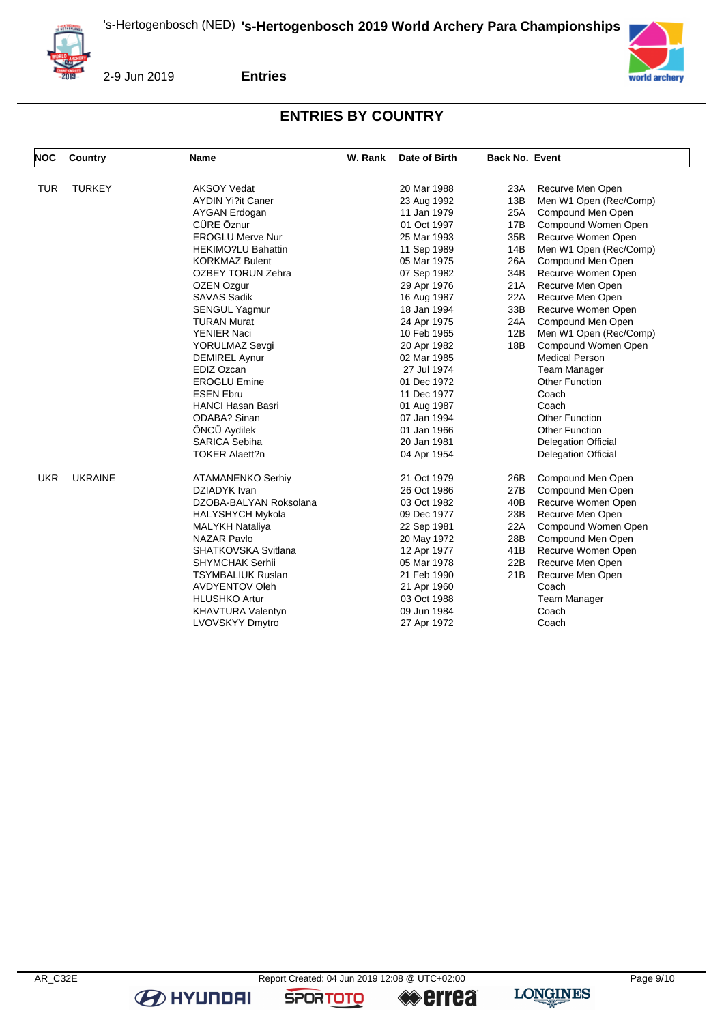



2-9 Jun 2019

**Entries**

# **ENTRIES BY COUNTRY**

| <b>NOC</b> | <b>Country</b> | Name                                     | W. Rank | Date of Birth              | <b>Back No. Event</b> |                                              |
|------------|----------------|------------------------------------------|---------|----------------------------|-----------------------|----------------------------------------------|
| <b>TUR</b> | <b>TURKEY</b>  | <b>AKSOY Vedat</b>                       |         | 20 Mar 1988                | 23A                   | Recurve Men Open                             |
|            |                | <b>AYDIN Yi?it Caner</b>                 |         | 23 Aug 1992                | 13B                   | Men W1 Open (Rec/Comp)                       |
|            |                | AYGAN Erdogan                            |         | 11 Jan 1979                | 25A                   | Compound Men Open                            |
|            |                | CÜRE Öznur                               |         | 01 Oct 1997                | 17B                   | Compound Women Open                          |
|            |                | <b>EROGLU Merve Nur</b>                  |         | 25 Mar 1993                | 35B                   | Recurve Women Open                           |
|            |                | <b>HEKIMO?LU Bahattin</b>                |         | 11 Sep 1989                | 14B                   | Men W1 Open (Rec/Comp)                       |
|            |                | <b>KORKMAZ Bulent</b>                    |         | 05 Mar 1975                | 26A                   | Compound Men Open                            |
|            |                | <b>OZBEY TORUN Zehra</b>                 |         | 07 Sep 1982                | 34B                   | Recurve Women Open                           |
|            |                | OZEN Ozgur                               |         | 29 Apr 1976                | 21A                   | Recurve Men Open                             |
|            |                | <b>SAVAS Sadik</b>                       |         |                            | 22A                   |                                              |
|            |                |                                          |         | 16 Aug 1987<br>18 Jan 1994 | 33B                   | Recurve Men Open                             |
|            |                | <b>SENGUL Yagmur</b>                     |         |                            |                       | Recurve Women Open                           |
|            |                | <b>TURAN Murat</b><br><b>YENIER Naci</b> |         | 24 Apr 1975<br>10 Feb 1965 | 24A<br>12B            | Compound Men Open                            |
|            |                |                                          |         |                            |                       | Men W1 Open (Rec/Comp)                       |
|            |                | YORULMAZ Sevgi                           |         | 20 Apr 1982                | 18B                   | Compound Women Open<br><b>Medical Person</b> |
|            |                | <b>DEMIREL Aynur</b>                     |         | 02 Mar 1985                |                       |                                              |
|            |                | EDIZ Ozcan                               |         | 27 Jul 1974                |                       | <b>Team Manager</b>                          |
|            |                | <b>EROGLU Emine</b>                      |         | 01 Dec 1972                |                       | <b>Other Function</b>                        |
|            |                | <b>ESEN Ebru</b>                         |         | 11 Dec 1977                |                       | Coach                                        |
|            |                | <b>HANCI Hasan Basri</b>                 |         | 01 Aug 1987                |                       | Coach                                        |
|            |                | <b>ODABA?</b> Sinan                      |         | 07 Jan 1994                |                       | <b>Other Function</b>                        |
|            |                | ÖNCÜ Aydilek                             |         | 01 Jan 1966                |                       | <b>Other Function</b>                        |
|            |                | <b>SARICA Sebiha</b>                     |         | 20 Jan 1981                |                       | <b>Delegation Official</b>                   |
|            |                | <b>TOKER Alaett?n</b>                    |         | 04 Apr 1954                |                       | <b>Delegation Official</b>                   |
| <b>UKR</b> | <b>UKRAINE</b> | <b>ATAMANENKO Serhiy</b>                 |         | 21 Oct 1979                | 26B                   | Compound Men Open                            |
|            |                | DZIADYK Ivan                             |         | 26 Oct 1986                | 27B                   | Compound Men Open                            |
|            |                | DZOBA-BALYAN Roksolana                   |         | 03 Oct 1982                | 40B                   | Recurve Women Open                           |
|            |                | <b>HALYSHYCH Mykola</b>                  |         | 09 Dec 1977                | 23B                   | Recurve Men Open                             |
|            |                | <b>MALYKH Nataliya</b>                   |         | 22 Sep 1981                | 22A                   | Compound Women Open                          |
|            |                | <b>NAZAR Pavlo</b>                       |         | 20 May 1972                | 28B                   | Compound Men Open                            |
|            |                | SHATKOVSKA Svitlana                      |         | 12 Apr 1977                | 41B                   | Recurve Women Open                           |
|            |                | <b>SHYMCHAK Serhii</b>                   |         | 05 Mar 1978                | 22B                   | Recurve Men Open                             |
|            |                | <b>TSYMBALIUK Ruslan</b>                 |         | 21 Feb 1990                | 21B                   | Recurve Men Open                             |
|            |                | <b>AVDYENTOV Oleh</b>                    |         | 21 Apr 1960                |                       | Coach                                        |
|            |                | <b>HLUSHKO Artur</b>                     |         | 03 Oct 1988                |                       | Team Manager                                 |
|            |                | <b>KHAVTURA Valentyn</b>                 |         | 09 Jun 1984                |                       | Coach                                        |
|            |                | LVOVSKYY Dmytro                          |         | 27 Apr 1972                |                       | Coach                                        |

**B** HYUNDAI

**SPORTOTO**